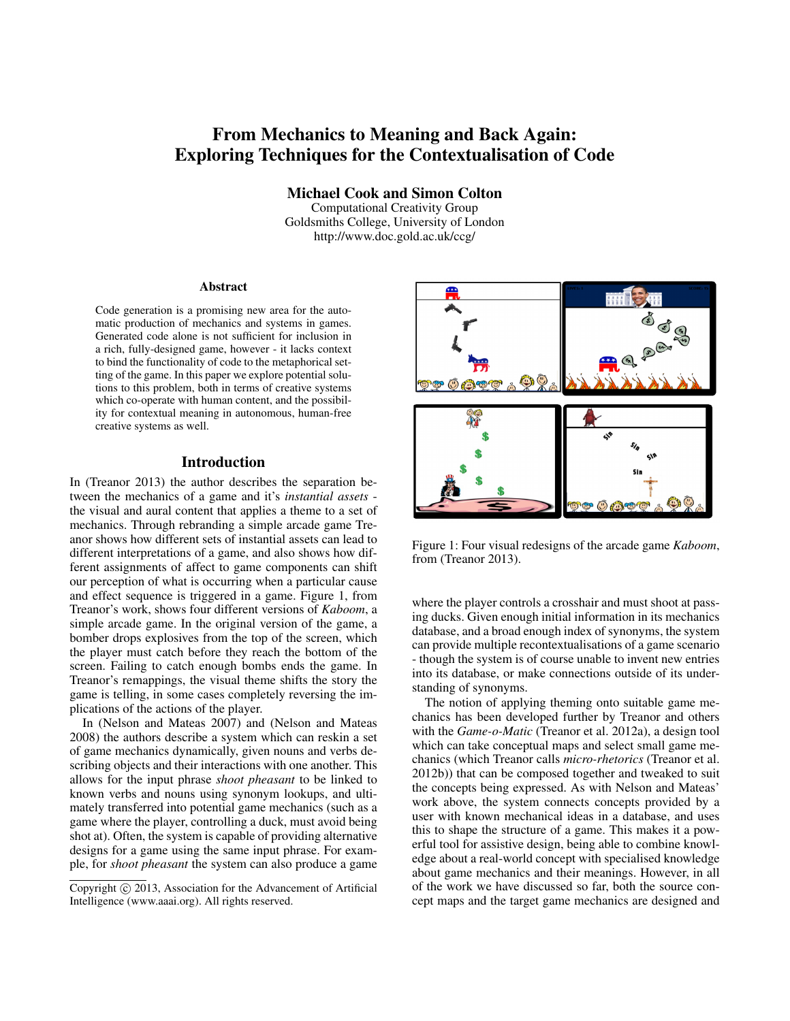# From Mechanics to Meaning and Back Again: Exploring Techniques for the Contextualisation of Code

Michael Cook and Simon Colton

Computational Creativity Group Goldsmiths College, University of London http://www.doc.gold.ac.uk/ccg/

#### Abstract

Code generation is a promising new area for the automatic production of mechanics and systems in games. Generated code alone is not sufficient for inclusion in a rich, fully-designed game, however - it lacks context to bind the functionality of code to the metaphorical setting of the game. In this paper we explore potential solutions to this problem, both in terms of creative systems which co-operate with human content, and the possibility for contextual meaning in autonomous, human-free creative systems as well.

#### Introduction

In (Treanor 2013) the author describes the separation between the mechanics of a game and it's *instantial assets* the visual and aural content that applies a theme to a set of mechanics. Through rebranding a simple arcade game Treanor shows how different sets of instantial assets can lead to different interpretations of a game, and also shows how different assignments of affect to game components can shift our perception of what is occurring when a particular cause and effect sequence is triggered in a game. Figure 1, from Treanor's work, shows four different versions of *Kaboom*, a simple arcade game. In the original version of the game, a bomber drops explosives from the top of the screen, which the player must catch before they reach the bottom of the screen. Failing to catch enough bombs ends the game. In Treanor's remappings, the visual theme shifts the story the game is telling, in some cases completely reversing the implications of the actions of the player.

In (Nelson and Mateas 2007) and (Nelson and Mateas 2008) the authors describe a system which can reskin a set of game mechanics dynamically, given nouns and verbs describing objects and their interactions with one another. This allows for the input phrase *shoot pheasant* to be linked to known verbs and nouns using synonym lookups, and ultimately transferred into potential game mechanics (such as a game where the player, controlling a duck, must avoid being shot at). Often, the system is capable of providing alternative designs for a game using the same input phrase. For example, for *shoot pheasant* the system can also produce a game



Figure 1: Four visual redesigns of the arcade game *Kaboom*, from (Treanor 2013).

where the player controls a crosshair and must shoot at passing ducks. Given enough initial information in its mechanics database, and a broad enough index of synonyms, the system can provide multiple recontextualisations of a game scenario - though the system is of course unable to invent new entries into its database, or make connections outside of its understanding of synonyms.

The notion of applying theming onto suitable game mechanics has been developed further by Treanor and others with the *Game-o-Matic* (Treanor et al. 2012a), a design tool which can take conceptual maps and select small game mechanics (which Treanor calls *micro-rhetorics* (Treanor et al. 2012b)) that can be composed together and tweaked to suit the concepts being expressed. As with Nelson and Mateas' work above, the system connects concepts provided by a user with known mechanical ideas in a database, and uses this to shape the structure of a game. This makes it a powerful tool for assistive design, being able to combine knowledge about a real-world concept with specialised knowledge about game mechanics and their meanings. However, in all of the work we have discussed so far, both the source concept maps and the target game mechanics are designed and

Copyright (c) 2013, Association for the Advancement of Artificial Intelligence (www.aaai.org). All rights reserved.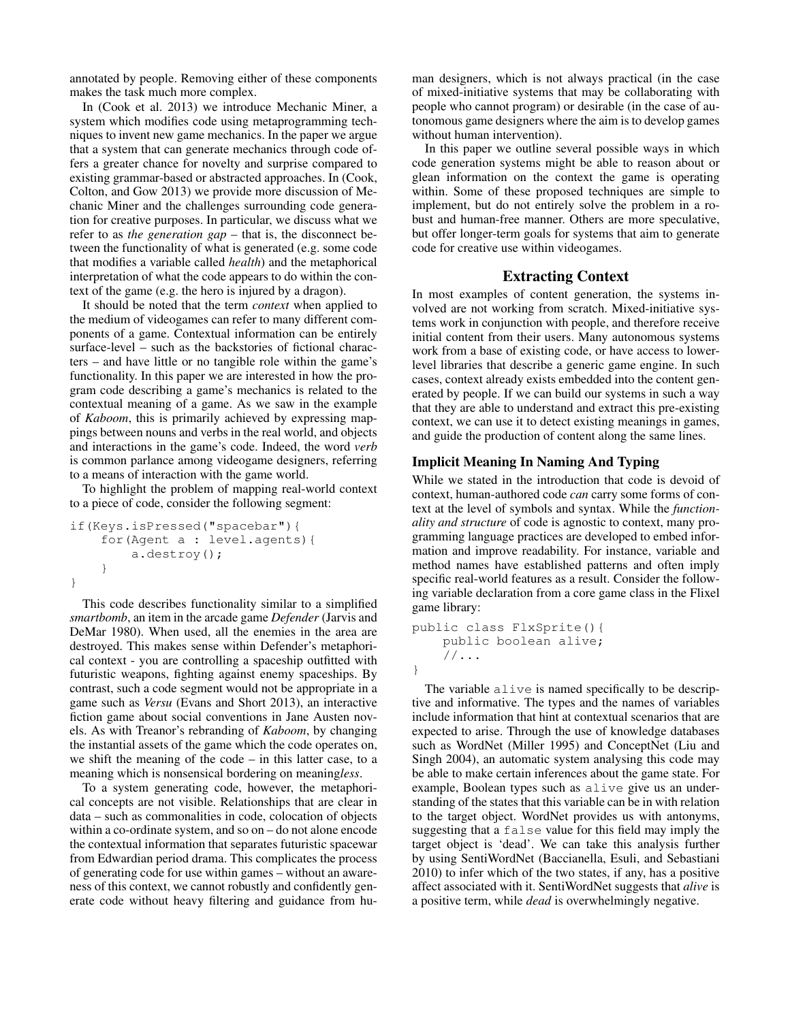annotated by people. Removing either of these components makes the task much more complex.

In (Cook et al. 2013) we introduce Mechanic Miner, a system which modifies code using metaprogramming techniques to invent new game mechanics. In the paper we argue that a system that can generate mechanics through code offers a greater chance for novelty and surprise compared to existing grammar-based or abstracted approaches. In (Cook, Colton, and Gow 2013) we provide more discussion of Mechanic Miner and the challenges surrounding code generation for creative purposes. In particular, we discuss what we refer to as *the generation gap* – that is, the disconnect between the functionality of what is generated (e.g. some code that modifies a variable called *health*) and the metaphorical interpretation of what the code appears to do within the context of the game (e.g. the hero is injured by a dragon).

It should be noted that the term *context* when applied to the medium of videogames can refer to many different components of a game. Contextual information can be entirely surface-level – such as the backstories of fictional characters – and have little or no tangible role within the game's functionality. In this paper we are interested in how the program code describing a game's mechanics is related to the contextual meaning of a game. As we saw in the example of *Kaboom*, this is primarily achieved by expressing mappings between nouns and verbs in the real world, and objects and interactions in the game's code. Indeed, the word *verb* is common parlance among videogame designers, referring to a means of interaction with the game world.

To highlight the problem of mapping real-world context to a piece of code, consider the following segment:

```
if(Keys.isPressed("spacebar"){
    for(Agent a : level.agents){
        a.destroy();
    }
}
```
This code describes functionality similar to a simplified *smartbomb*, an item in the arcade game *Defender* (Jarvis and DeMar 1980). When used, all the enemies in the area are destroyed. This makes sense within Defender's metaphorical context - you are controlling a spaceship outfitted with futuristic weapons, fighting against enemy spaceships. By contrast, such a code segment would not be appropriate in a game such as *Versu* (Evans and Short 2013), an interactive fiction game about social conventions in Jane Austen novels. As with Treanor's rebranding of *Kaboom*, by changing the instantial assets of the game which the code operates on, we shift the meaning of the code – in this latter case, to a meaning which is nonsensical bordering on meaning*less*.

To a system generating code, however, the metaphorical concepts are not visible. Relationships that are clear in data – such as commonalities in code, colocation of objects within a co-ordinate system, and so on – do not alone encode the contextual information that separates futuristic spacewar from Edwardian period drama. This complicates the process of generating code for use within games – without an awareness of this context, we cannot robustly and confidently generate code without heavy filtering and guidance from human designers, which is not always practical (in the case of mixed-initiative systems that may be collaborating with people who cannot program) or desirable (in the case of autonomous game designers where the aim is to develop games without human intervention).

In this paper we outline several possible ways in which code generation systems might be able to reason about or glean information on the context the game is operating within. Some of these proposed techniques are simple to implement, but do not entirely solve the problem in a robust and human-free manner. Others are more speculative, but offer longer-term goals for systems that aim to generate code for creative use within videogames.

# Extracting Context

In most examples of content generation, the systems involved are not working from scratch. Mixed-initiative systems work in conjunction with people, and therefore receive initial content from their users. Many autonomous systems work from a base of existing code, or have access to lowerlevel libraries that describe a generic game engine. In such cases, context already exists embedded into the content generated by people. If we can build our systems in such a way that they are able to understand and extract this pre-existing context, we can use it to detect existing meanings in games, and guide the production of content along the same lines.

#### Implicit Meaning In Naming And Typing

While we stated in the introduction that code is devoid of context, human-authored code *can* carry some forms of context at the level of symbols and syntax. While the *functionality and structure* of code is agnostic to context, many programming language practices are developed to embed information and improve readability. For instance, variable and method names have established patterns and often imply specific real-world features as a result. Consider the following variable declaration from a core game class in the Flixel game library:

```
public class FlxSprite(){
    public boolean alive;
    //\ldots}
```
The variable alive is named specifically to be descriptive and informative. The types and the names of variables include information that hint at contextual scenarios that are expected to arise. Through the use of knowledge databases such as WordNet (Miller 1995) and ConceptNet (Liu and Singh 2004), an automatic system analysing this code may be able to make certain inferences about the game state. For example, Boolean types such as alive give us an understanding of the states that this variable can be in with relation to the target object. WordNet provides us with antonyms, suggesting that a false value for this field may imply the target object is 'dead'. We can take this analysis further by using SentiWordNet (Baccianella, Esuli, and Sebastiani 2010) to infer which of the two states, if any, has a positive affect associated with it. SentiWordNet suggests that *alive* is a positive term, while *dead* is overwhelmingly negative.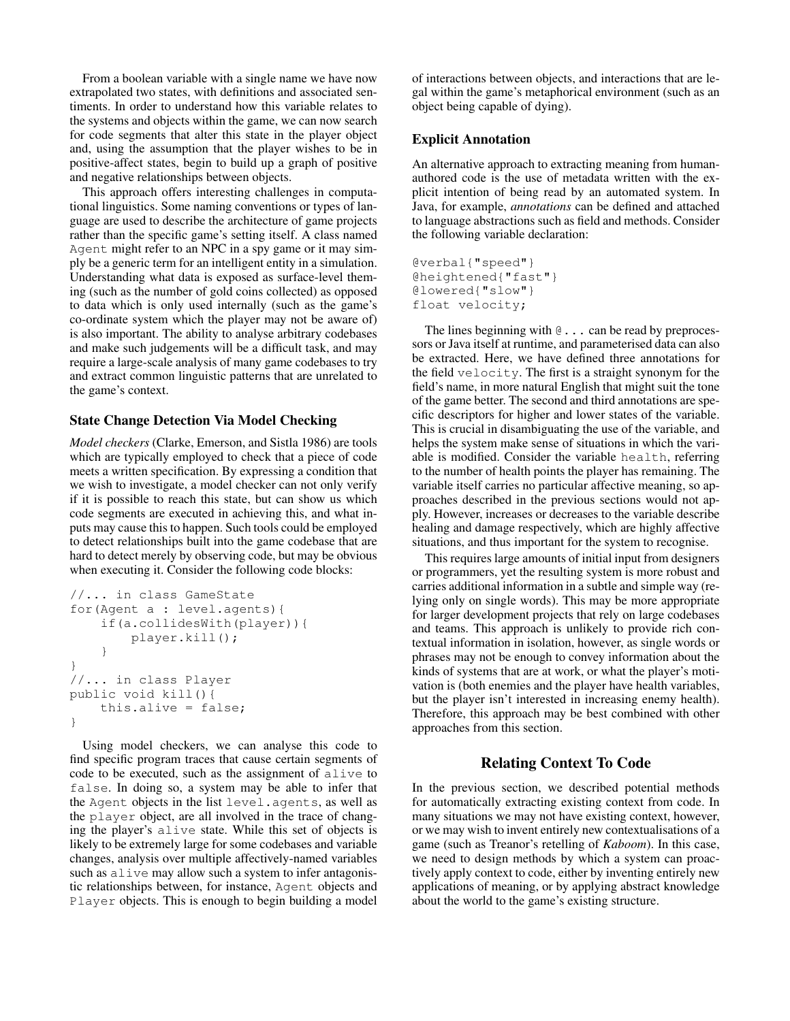From a boolean variable with a single name we have now extrapolated two states, with definitions and associated sentiments. In order to understand how this variable relates to the systems and objects within the game, we can now search for code segments that alter this state in the player object and, using the assumption that the player wishes to be in positive-affect states, begin to build up a graph of positive and negative relationships between objects.

This approach offers interesting challenges in computational linguistics. Some naming conventions or types of language are used to describe the architecture of game projects rather than the specific game's setting itself. A class named Agent might refer to an NPC in a spy game or it may simply be a generic term for an intelligent entity in a simulation. Understanding what data is exposed as surface-level theming (such as the number of gold coins collected) as opposed to data which is only used internally (such as the game's co-ordinate system which the player may not be aware of) is also important. The ability to analyse arbitrary codebases and make such judgements will be a difficult task, and may require a large-scale analysis of many game codebases to try and extract common linguistic patterns that are unrelated to the game's context.

## State Change Detection Via Model Checking

*Model checkers* (Clarke, Emerson, and Sistla 1986) are tools which are typically employed to check that a piece of code meets a written specification. By expressing a condition that we wish to investigate, a model checker can not only verify if it is possible to reach this state, but can show us which code segments are executed in achieving this, and what inputs may cause this to happen. Such tools could be employed to detect relationships built into the game codebase that are hard to detect merely by observing code, but may be obvious when executing it. Consider the following code blocks:

```
//... in class GameState
for(Agent a : level.agents){
    if(a.collidesWith(player)){
        player.kill();
    }
}
//... in class Player
public void kill(){
    this.alive = false;
}
```
Using model checkers, we can analyse this code to find specific program traces that cause certain segments of code to be executed, such as the assignment of alive to false. In doing so, a system may be able to infer that the Agent objects in the list level.agents, as well as the player object, are all involved in the trace of changing the player's alive state. While this set of objects is likely to be extremely large for some codebases and variable changes, analysis over multiple affectively-named variables such as alive may allow such a system to infer antagonistic relationships between, for instance, Agent objects and Player objects. This is enough to begin building a model

of interactions between objects, and interactions that are legal within the game's metaphorical environment (such as an object being capable of dying).

#### Explicit Annotation

An alternative approach to extracting meaning from humanauthored code is the use of metadata written with the explicit intention of being read by an automated system. In Java, for example, *annotations* can be defined and attached to language abstractions such as field and methods. Consider the following variable declaration:

```
@verbal{"speed"}
@heightened{"fast"}
@lowered{"slow"}
float velocity;
```
The lines beginning with  $\mathcal{Q}$ ... can be read by preprocessors or Java itself at runtime, and parameterised data can also be extracted. Here, we have defined three annotations for the field velocity. The first is a straight synonym for the field's name, in more natural English that might suit the tone of the game better. The second and third annotations are specific descriptors for higher and lower states of the variable. This is crucial in disambiguating the use of the variable, and helps the system make sense of situations in which the variable is modified. Consider the variable health, referring to the number of health points the player has remaining. The variable itself carries no particular affective meaning, so approaches described in the previous sections would not apply. However, increases or decreases to the variable describe healing and damage respectively, which are highly affective situations, and thus important for the system to recognise.

This requires large amounts of initial input from designers or programmers, yet the resulting system is more robust and carries additional information in a subtle and simple way (relying only on single words). This may be more appropriate for larger development projects that rely on large codebases and teams. This approach is unlikely to provide rich contextual information in isolation, however, as single words or phrases may not be enough to convey information about the kinds of systems that are at work, or what the player's motivation is (both enemies and the player have health variables, but the player isn't interested in increasing enemy health). Therefore, this approach may be best combined with other approaches from this section.

## Relating Context To Code

In the previous section, we described potential methods for automatically extracting existing context from code. In many situations we may not have existing context, however, or we may wish to invent entirely new contextualisations of a game (such as Treanor's retelling of *Kaboom*). In this case, we need to design methods by which a system can proactively apply context to code, either by inventing entirely new applications of meaning, or by applying abstract knowledge about the world to the game's existing structure.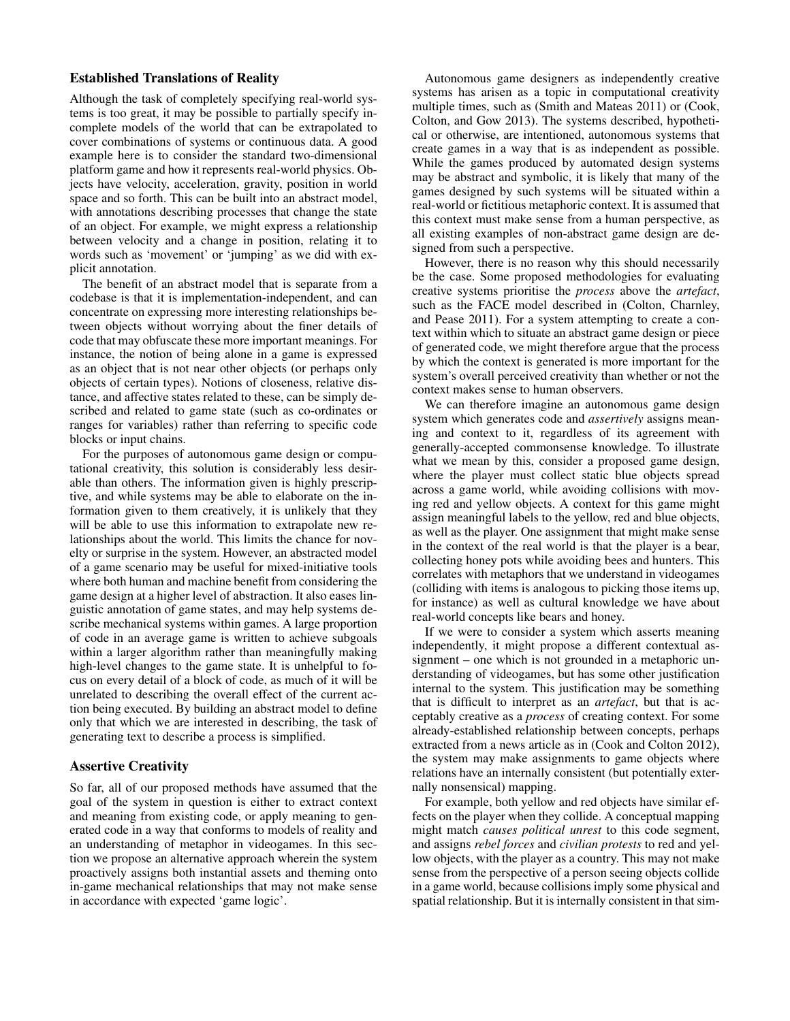# Established Translations of Reality

Although the task of completely specifying real-world systems is too great, it may be possible to partially specify incomplete models of the world that can be extrapolated to cover combinations of systems or continuous data. A good example here is to consider the standard two-dimensional platform game and how it represents real-world physics. Objects have velocity, acceleration, gravity, position in world space and so forth. This can be built into an abstract model, with annotations describing processes that change the state of an object. For example, we might express a relationship between velocity and a change in position, relating it to words such as 'movement' or 'jumping' as we did with explicit annotation.

The benefit of an abstract model that is separate from a codebase is that it is implementation-independent, and can concentrate on expressing more interesting relationships between objects without worrying about the finer details of code that may obfuscate these more important meanings. For instance, the notion of being alone in a game is expressed as an object that is not near other objects (or perhaps only objects of certain types). Notions of closeness, relative distance, and affective states related to these, can be simply described and related to game state (such as co-ordinates or ranges for variables) rather than referring to specific code blocks or input chains.

For the purposes of autonomous game design or computational creativity, this solution is considerably less desirable than others. The information given is highly prescriptive, and while systems may be able to elaborate on the information given to them creatively, it is unlikely that they will be able to use this information to extrapolate new relationships about the world. This limits the chance for novelty or surprise in the system. However, an abstracted model of a game scenario may be useful for mixed-initiative tools where both human and machine benefit from considering the game design at a higher level of abstraction. It also eases linguistic annotation of game states, and may help systems describe mechanical systems within games. A large proportion of code in an average game is written to achieve subgoals within a larger algorithm rather than meaningfully making high-level changes to the game state. It is unhelpful to focus on every detail of a block of code, as much of it will be unrelated to describing the overall effect of the current action being executed. By building an abstract model to define only that which we are interested in describing, the task of generating text to describe a process is simplified.

# Assertive Creativity

So far, all of our proposed methods have assumed that the goal of the system in question is either to extract context and meaning from existing code, or apply meaning to generated code in a way that conforms to models of reality and an understanding of metaphor in videogames. In this section we propose an alternative approach wherein the system proactively assigns both instantial assets and theming onto in-game mechanical relationships that may not make sense in accordance with expected 'game logic'.

Autonomous game designers as independently creative systems has arisen as a topic in computational creativity multiple times, such as (Smith and Mateas 2011) or (Cook, Colton, and Gow 2013). The systems described, hypothetical or otherwise, are intentioned, autonomous systems that create games in a way that is as independent as possible. While the games produced by automated design systems may be abstract and symbolic, it is likely that many of the games designed by such systems will be situated within a real-world or fictitious metaphoric context. It is assumed that this context must make sense from a human perspective, as all existing examples of non-abstract game design are designed from such a perspective.

However, there is no reason why this should necessarily be the case. Some proposed methodologies for evaluating creative systems prioritise the *process* above the *artefact*, such as the FACE model described in (Colton, Charnley, and Pease 2011). For a system attempting to create a context within which to situate an abstract game design or piece of generated code, we might therefore argue that the process by which the context is generated is more important for the system's overall perceived creativity than whether or not the context makes sense to human observers.

We can therefore imagine an autonomous game design system which generates code and *assertively* assigns meaning and context to it, regardless of its agreement with generally-accepted commonsense knowledge. To illustrate what we mean by this, consider a proposed game design, where the player must collect static blue objects spread across a game world, while avoiding collisions with moving red and yellow objects. A context for this game might assign meaningful labels to the yellow, red and blue objects, as well as the player. One assignment that might make sense in the context of the real world is that the player is a bear, collecting honey pots while avoiding bees and hunters. This correlates with metaphors that we understand in videogames (colliding with items is analogous to picking those items up, for instance) as well as cultural knowledge we have about real-world concepts like bears and honey.

If we were to consider a system which asserts meaning independently, it might propose a different contextual assignment – one which is not grounded in a metaphoric understanding of videogames, but has some other justification internal to the system. This justification may be something that is difficult to interpret as an *artefact*, but that is acceptably creative as a *process* of creating context. For some already-established relationship between concepts, perhaps extracted from a news article as in (Cook and Colton 2012), the system may make assignments to game objects where relations have an internally consistent (but potentially externally nonsensical) mapping.

For example, both yellow and red objects have similar effects on the player when they collide. A conceptual mapping might match *causes political unrest* to this code segment, and assigns *rebel forces* and *civilian protests* to red and yellow objects, with the player as a country. This may not make sense from the perspective of a person seeing objects collide in a game world, because collisions imply some physical and spatial relationship. But it is internally consistent in that sim